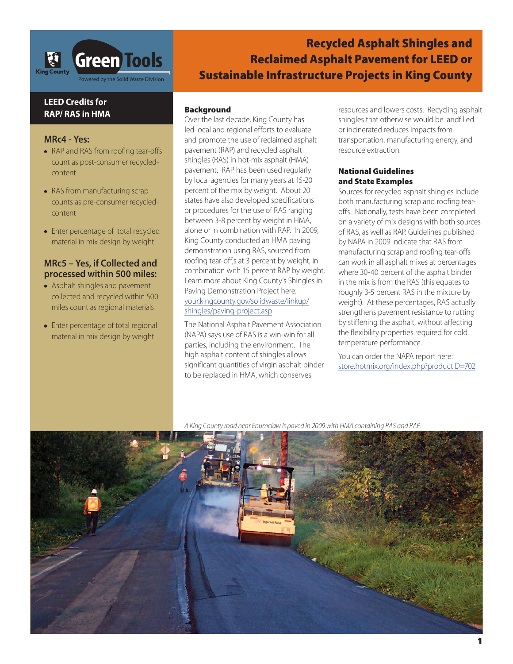

# **Recycled Asphalt Shingles and Reclaimed Asphalt Pavement for LEED or Sustainable Infrastructure Projects in King County**

# **LEED Credits for RAP/ RAS in HMA**

#### **MRc4 - Yes:**

- **•** RAP and RAS from roofing tear-offs count as post-consumer recycledcontent
- **•** RAS from manufacturing scrap counts as pre-consumer recycledcontent
- **•** Enter percentage of total recycled material in mix design by weight

### **MRc5 – Yes, if Collected and processed within 500 miles:**

- **•** Asphalt shingles and pavement collected and recycled within 500 miles count as regional materials
- **•** Enter percentage of total regional material in mix design by weight

### **Background**

Over the last decade, King County has led local and regional efforts to evaluate and promote the use of reclaimed asphalt pavement (RAP) and recycled asphalt shingles (RAS) in hot-mix asphalt (HMA) pavement. RAP has been used regularly by local agencies for many years at 15-20 percent of the mix by weight. About 20 states have also developed specifications or procedures for the use of RAS ranging between 3-8 percent by weight in HMA, alone or in combination with RAP. In 2009, King County conducted an HMA paving demonstration using RAS, sourced from roofing tear-off,s at 3 percent by weight, in combination with 15 percent RAP by weight. Learn more about King County's Shingles in Paving Demonstration Project here: your.kingcounty.gov/solidwaste/linkup/ shingles/paving-project.asp

The National Asphalt Pavement Association (NAPA) says use of RAS is a win-win for all parties, including the environment. The high asphalt content of shingles allows significant quantities of virgin asphalt binder to be replaced in HMA, which conserves

resources and lowers costs. Recycling asphalt shingles that otherwise would be landfilled or incinerated reduces impacts from transportation, manufacturing energy, and resource extraction.

#### **National Guidelines and State Examples**

Sources for recycled asphalt shingles include both manufacturing scrap and roofing tearoffs. Nationally, tests have been completed on a variety of mix designs with both sources of RAS, as well as RAP. Guidelines published by NAPA in 2009 indicate that RAS from manufacturing scrap and roofing tear-offs can work in all asphalt mixes at percentages where 30-40 percent of the asphalt binder in the mix is from the RAS (this equates to roughly 3-5 percent RAS in the mixture by weight). At these percentages, RAS actually strengthens pavement resistance to rutting by stiffening the asphalt, without affecting the flexibility properties required for cold temperature performance.

You can order the NAPA report here: store.hotmix.org/index.php?productID=702

A King County road near Enumclaw is paved in 2009 with HMA containing RAS and RAP.

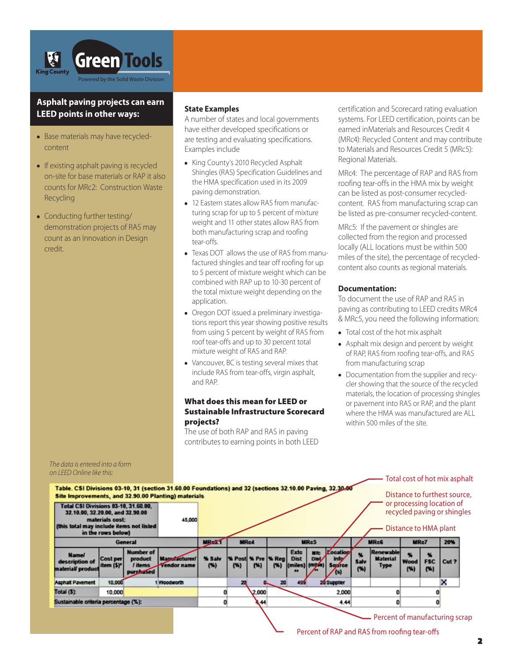

## **Asphalt paving projects can earn LEED points in other ways:**

- **•** Base materials may have recycledcontent
- **•** If existing asphalt paving is recycled on-site for base materials or RAP it also counts for MRc2: Construction Waste Recycling
- **•** Conducting further testing/ demonstration projects of RAS may count as an Innovation in Design credit.

The data is entered into a form

#### **State Examples**

A number of states and local governments have either developed specifications or are testing and evaluating specifications. Examples include

- **•** King County's 2010 Recycled Asphalt Shingles (RAS) Specification Guidelines and the HMA specification used in its 2009 paving demonstration.
- **•** 12 Eastern states allow RAS from manufacturing scrap for up to 5 percent of mixture weight and 11 other states allow RAS from both manufacturing scrap and roofing tear-offs.
- **•** Texas DOT allows the use of RAS from manufactured shingles and tear off roofing for up to 5 percent of mixture weight which can be combined with RAP up to 10-30 percent of the total mixture weight depending on the application.
- **•** Oregon DOT issued a preliminary investigations report this year showing positive results from using 5 percent by weight of RAS from roof tear-offs and up to 30 percent total mixture weight of RAS and RAP.
- **•** Vancouver, BC is testing several mixes that include RAS from tear-offs, virgin asphalt, and RAP.

#### **What does this mean for LEED or Sustainable Infrastructure Scorecard projects?**

The use of both RAP and RAS in paving contributes to earning points in both LEED certification and Scorecard rating evaluation systems. For LEED certification, points can be earned inMaterials and Resources Credit 4 (MRc4): Recycled Content and may contribute to Materials and Resources Credit 5 (MRc5): Regional Materials.

MRc4: The percentage of RAP and RAS from roofing tear-offs in the HMA mix by weight can be listed as post-consumer recycledcontent. RAS from manufacturing scrap can be listed as pre-consumer recycled-content.

MRc5: If the pavement or shingles are collected from the region and processed locally (ALL locations must be within 500 miles of the site), the percentage of recycledcontent also counts as regional materials.

#### **Documentation:**

To document the use of RAP and RAS in paving as contributing to LEED credits MRc4 & MRc5, you need the following information:

- **•** Total cost of the hot mix asphalt
- **•** Asphalt mix design and percent by weight of RAP, RAS from roofing tear-offs, and RAS from manufacturing scrap
- **•** Documentation from the supplier and recycler showing that the source of the recycled materials, the location of processing shingles or pavement into RAS or RAP, and the plant where the HMA was manufactured are ALL within 500 miles of the site.



## Percent of RAP and RAS from roofing tear-offs

**2**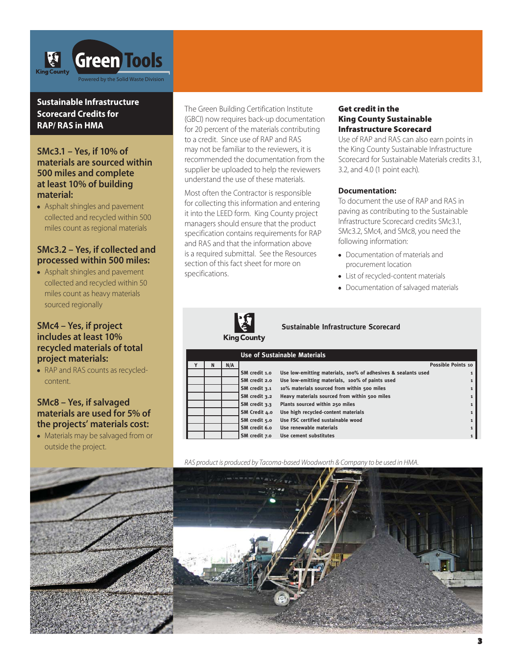

# **Sustainable Infrastructure Scorecard Credits for RAP/ RAS in HMA**

# **SMc3.1 – Yes, if 10% of materials are sourced within 500 miles and complete at least 10% of building material:**

**•** Asphalt shingles and pavement collected and recycled within 500 miles count as regional materials

# **SMc3.2 – Yes, if collected and processed within 500 miles:**

**•** Asphalt shingles and pavement collected and recycled within 50 miles count as heavy materials sourced regionally

### **SMc4 – Yes, if project includes at least 10% recycled materials of total project materials:**

**•** RAP and RAS counts as recycledcontent.

# **SMc8 – Yes, if salvaged materials are used for 5% of the projects' materials cost:**

**•** Materials may be salvaged from or outside the project.



The Green Building Certification Institute (GBCI) now requires back-up documentation for 20 percent of the materials contributing to a credit. Since use of RAP and RAS may not be familiar to the reviewers, it is recommended the documentation from the supplier be uploaded to help the reviewers understand the use of these materials.

Most often the Contractor is responsible for collecting this information and entering it into the LEED form. King County project managers should ensure that the product specification contains requirements for RAP and RAS and that the information above is a required submittal. See the Resources section of this fact sheet for more on specifications.

#### **Get credit in the King County Sustainable Infrastructure Scorecard**

Use of RAP and RAS can also earn points in the King County Sustainable Infrastructure Scorecard for Sustainable Materials credits 3.1, 3.2, and 4.0 (1 point each).

#### **Documentation:**

To document the use of RAP and RAS in paving as contributing to the Sustainable Infrastructure Scorecard credits SMc3.1, SMc3.2, SMc4, and SMc8, you need the following information:

- **•** Documentation of materials and procurement location
- **•** List of recycled-content materials
- **•** Documentation of salvaged materials



### **Sustainable Infrastructure Scorecard**

**King County** 

|   |     |               | <b>Use of Sustainable Materials</b>                           |                    |
|---|-----|---------------|---------------------------------------------------------------|--------------------|
| N | N/A |               |                                                               | Possible Points 10 |
|   |     | SM credit 1.0 | Use low-emitting materials, 100% of adhesives & sealants used |                    |
|   |     | SM credit 2.0 | Use low-emitting materials, 100% of paints used               | $\mathbf{1}$       |
|   |     | SM credit 3.1 | 10% materials sourced from within 500 miles                   | $\mathbf{1}$       |
|   |     | SM credit 3.2 | Heavy materials sourced from within 500 miles                 | 1                  |
|   |     | SM credit 3.3 | Plants sourced within 250 miles                               | $\mathbf{1}$       |
|   |     | SM Credit 4.0 | Use high recycled-content materials                           | $\mathbf{1}$       |
|   |     | SM credit 5.0 | Use FSC certified sustainable wood                            | $\mathbf{1}$       |
|   |     | SM credit 6.0 | Use renewable materials                                       | $\mathbf{1}$       |
|   |     | SM credit 7.0 | Use cement substitutes                                        | $\mathbf{1}$       |

RAS product is produced by Tacoma-based Woodworth & Company to be used in HMA.